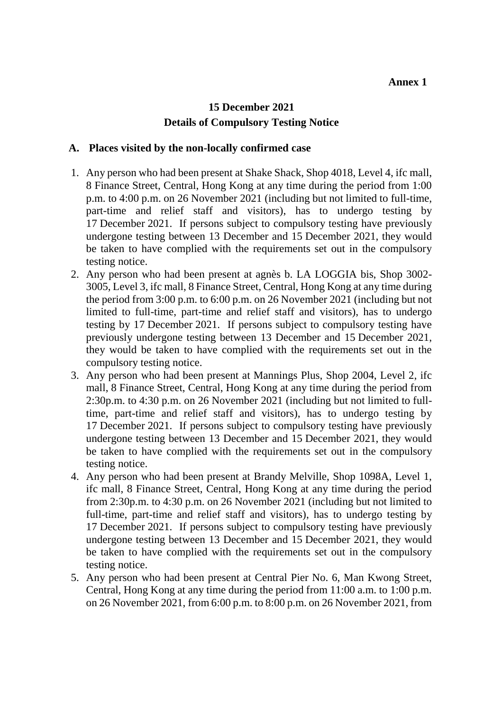## **15 December 2021 Details of Compulsory Testing Notice**

## **A. Places visited by the non-locally confirmed case**

- 1. Any person who had been present at Shake Shack, Shop 4018, Level 4, ifc mall, 8 Finance Street, Central, Hong Kong at any time during the period from 1:00 p.m. to 4:00 p.m. on 26 November 2021 (including but not limited to full-time, part-time and relief staff and visitors), has to undergo testing by 17 December 2021. If persons subject to compulsory testing have previously undergone testing between 13 December and 15 December 2021, they would be taken to have complied with the requirements set out in the compulsory testing notice.
- 2. Any person who had been present at agnès b. LA LOGGIA bis, Shop 3002- 3005, Level 3, ifc mall, 8 Finance Street, Central, Hong Kong at any time during the period from 3:00 p.m. to 6:00 p.m. on 26 November 2021 (including but not limited to full-time, part-time and relief staff and visitors), has to undergo testing by 17 December 2021. If persons subject to compulsory testing have previously undergone testing between 13 December and 15 December 2021, they would be taken to have complied with the requirements set out in the compulsory testing notice.
- 3. Any person who had been present at Mannings Plus, Shop 2004, Level 2, ifc mall, 8 Finance Street, Central, Hong Kong at any time during the period from 2:30p.m. to 4:30 p.m. on 26 November 2021 (including but not limited to fulltime, part-time and relief staff and visitors), has to undergo testing by 17 December 2021. If persons subject to compulsory testing have previously undergone testing between 13 December and 15 December 2021, they would be taken to have complied with the requirements set out in the compulsory testing notice.
- 4. Any person who had been present at Brandy Melville, Shop 1098A, Level 1, ifc mall, 8 Finance Street, Central, Hong Kong at any time during the period from 2:30p.m. to 4:30 p.m. on 26 November 2021 (including but not limited to full-time, part-time and relief staff and visitors), has to undergo testing by 17 December 2021. If persons subject to compulsory testing have previously undergone testing between 13 December and 15 December 2021, they would be taken to have complied with the requirements set out in the compulsory testing notice.
- 5. Any person who had been present at Central Pier No. 6, Man Kwong Street, Central, Hong Kong at any time during the period from 11:00 a.m. to 1:00 p.m. on 26 November 2021, from 6:00 p.m. to 8:00 p.m. on 26 November 2021, from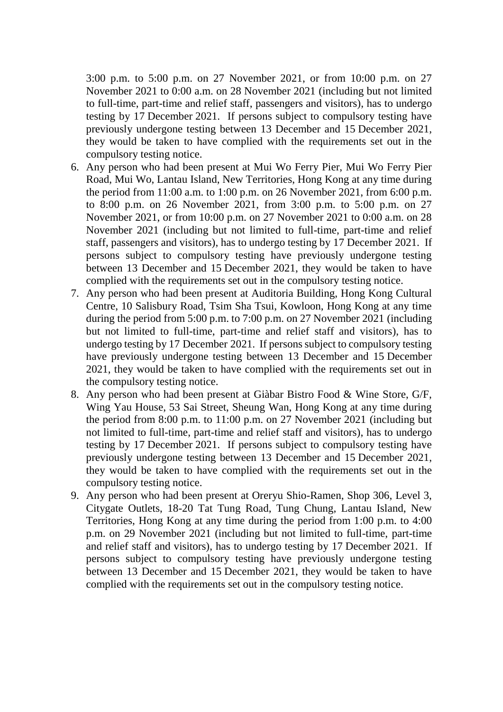3:00 p.m. to 5:00 p.m. on 27 November 2021, or from 10:00 p.m. on 27 November 2021 to 0:00 a.m. on 28 November 2021 (including but not limited to full-time, part-time and relief staff, passengers and visitors), has to undergo testing by 17 December 2021. If persons subject to compulsory testing have previously undergone testing between 13 December and 15 December 2021, they would be taken to have complied with the requirements set out in the compulsory testing notice.

- 6. Any person who had been present at Mui Wo Ferry Pier, Mui Wo Ferry Pier Road, Mui Wo, Lantau Island, New Territories, Hong Kong at any time during the period from 11:00 a.m. to 1:00 p.m. on 26 November 2021, from 6:00 p.m. to 8:00 p.m. on 26 November 2021, from 3:00 p.m. to 5:00 p.m. on 27 November 2021, or from 10:00 p.m. on 27 November 2021 to 0:00 a.m. on 28 November 2021 (including but not limited to full-time, part-time and relief staff, passengers and visitors), has to undergo testing by 17 December 2021. If persons subject to compulsory testing have previously undergone testing between 13 December and 15 December 2021, they would be taken to have complied with the requirements set out in the compulsory testing notice.
- 7. Any person who had been present at Auditoria Building, Hong Kong Cultural Centre, 10 Salisbury Road, Tsim Sha Tsui, Kowloon, Hong Kong at any time during the period from 5:00 p.m. to 7:00 p.m. on 27 November 2021 (including but not limited to full-time, part-time and relief staff and visitors), has to undergo testing by 17 December 2021. If persons subject to compulsory testing have previously undergone testing between 13 December and 15 December 2021, they would be taken to have complied with the requirements set out in the compulsory testing notice.
- 8. Any person who had been present at Giàbar Bistro Food & Wine Store, G/F, Wing Yau House, 53 Sai Street, Sheung Wan, Hong Kong at any time during the period from 8:00 p.m. to 11:00 p.m. on 27 November 2021 (including but not limited to full-time, part-time and relief staff and visitors), has to undergo testing by 17 December 2021. If persons subject to compulsory testing have previously undergone testing between 13 December and 15 December 2021, they would be taken to have complied with the requirements set out in the compulsory testing notice.
- 9. Any person who had been present at Oreryu Shio-Ramen, Shop 306, Level 3, Citygate Outlets, 18-20 Tat Tung Road, Tung Chung, Lantau Island, New Territories, Hong Kong at any time during the period from 1:00 p.m. to 4:00 p.m. on 29 November 2021 (including but not limited to full-time, part-time and relief staff and visitors), has to undergo testing by 17 December 2021. If persons subject to compulsory testing have previously undergone testing between 13 December and 15 December 2021, they would be taken to have complied with the requirements set out in the compulsory testing notice.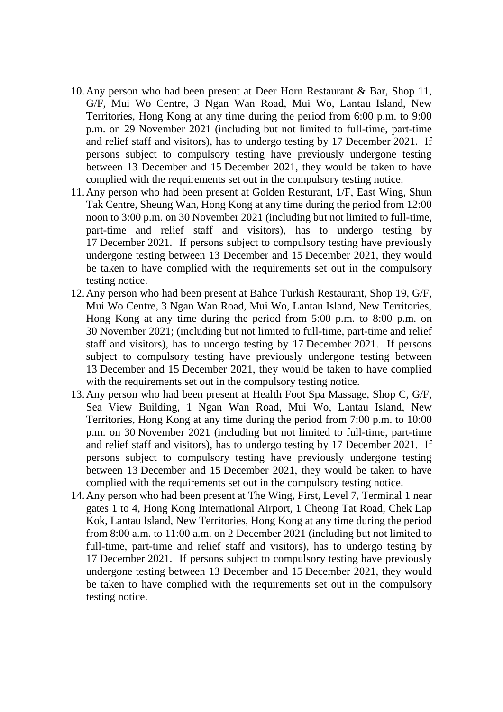- 10.Any person who had been present at Deer Horn Restaurant & Bar, Shop 11, G/F, Mui Wo Centre, 3 Ngan Wan Road, Mui Wo, Lantau Island, New Territories, Hong Kong at any time during the period from 6:00 p.m. to 9:00 p.m. on 29 November 2021 (including but not limited to full-time, part-time and relief staff and visitors), has to undergo testing by 17 December 2021. If persons subject to compulsory testing have previously undergone testing between 13 December and 15 December 2021, they would be taken to have complied with the requirements set out in the compulsory testing notice.
- 11.Any person who had been present at Golden Resturant, 1/F, East Wing, Shun Tak Centre, Sheung Wan, Hong Kong at any time during the period from 12:00 noon to 3:00 p.m. on 30 November 2021 (including but not limited to full-time, part-time and relief staff and visitors), has to undergo testing by 17 December 2021. If persons subject to compulsory testing have previously undergone testing between 13 December and 15 December 2021, they would be taken to have complied with the requirements set out in the compulsory testing notice.
- 12.Any person who had been present at Bahce Turkish Restaurant, Shop 19, G/F, Mui Wo Centre, 3 Ngan Wan Road, Mui Wo, Lantau Island, New Territories, Hong Kong at any time during the period from 5:00 p.m. to 8:00 p.m. on 30 November 2021; (including but not limited to full-time, part-time and relief staff and visitors), has to undergo testing by 17 December 2021. If persons subject to compulsory testing have previously undergone testing between 13 December and 15 December 2021, they would be taken to have complied with the requirements set out in the compulsory testing notice.
- 13.Any person who had been present at Health Foot Spa Massage, Shop C, G/F, Sea View Building, 1 Ngan Wan Road, Mui Wo, Lantau Island, New Territories, Hong Kong at any time during the period from 7:00 p.m. to 10:00 p.m. on 30 November 2021 (including but not limited to full-time, part-time and relief staff and visitors), has to undergo testing by 17 December 2021. If persons subject to compulsory testing have previously undergone testing between 13 December and 15 December 2021, they would be taken to have complied with the requirements set out in the compulsory testing notice.
- 14.Any person who had been present at The Wing, First, Level 7, Terminal 1 near gates 1 to 4, Hong Kong International Airport, 1 Cheong Tat Road, Chek Lap Kok, Lantau Island, New Territories, Hong Kong at any time during the period from 8:00 a.m. to 11:00 a.m. on 2 December 2021 (including but not limited to full-time, part-time and relief staff and visitors), has to undergo testing by 17 December 2021. If persons subject to compulsory testing have previously undergone testing between 13 December and 15 December 2021, they would be taken to have complied with the requirements set out in the compulsory testing notice.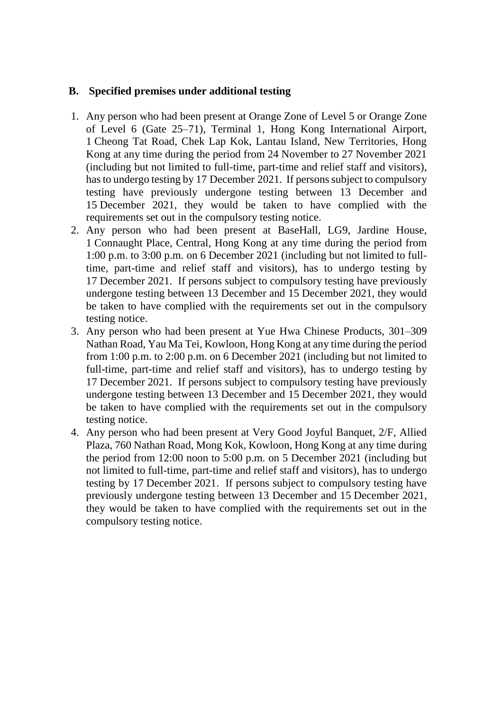## **B. Specified premises under additional testing**

- 1. Any person who had been present at Orange Zone of Level 5 or Orange Zone of Level 6 (Gate 25–71), Terminal 1, Hong Kong International Airport, 1 Cheong Tat Road, Chek Lap Kok, Lantau Island, New Territories, Hong Kong at any time during the period from 24 November to 27 November 2021 (including but not limited to full-time, part-time and relief staff and visitors), has to undergo testing by 17 December 2021. If persons subject to compulsory testing have previously undergone testing between 13 December and 15 December 2021, they would be taken to have complied with the requirements set out in the compulsory testing notice.
- 2. Any person who had been present at BaseHall, LG9, Jardine House, 1 Connaught Place, Central, Hong Kong at any time during the period from 1:00 p.m. to 3:00 p.m. on 6 December 2021 (including but not limited to fulltime, part-time and relief staff and visitors), has to undergo testing by 17 December 2021. If persons subject to compulsory testing have previously undergone testing between 13 December and 15 December 2021, they would be taken to have complied with the requirements set out in the compulsory testing notice.
- 3. Any person who had been present at Yue Hwa Chinese Products, 301–309 Nathan Road, Yau Ma Tei, Kowloon, Hong Kong at any time during the period from 1:00 p.m. to 2:00 p.m. on 6 December 2021 (including but not limited to full-time, part-time and relief staff and visitors), has to undergo testing by 17 December 2021. If persons subject to compulsory testing have previously undergone testing between 13 December and 15 December 2021, they would be taken to have complied with the requirements set out in the compulsory testing notice.
- 4. Any person who had been present at Very Good Joyful Banquet, 2/F, Allied Plaza, 760 Nathan Road, Mong Kok, Kowloon, Hong Kong at any time during the period from 12:00 noon to 5:00 p.m. on 5 December 2021 (including but not limited to full-time, part-time and relief staff and visitors), has to undergo testing by 17 December 2021. If persons subject to compulsory testing have previously undergone testing between 13 December and 15 December 2021, they would be taken to have complied with the requirements set out in the compulsory testing notice.